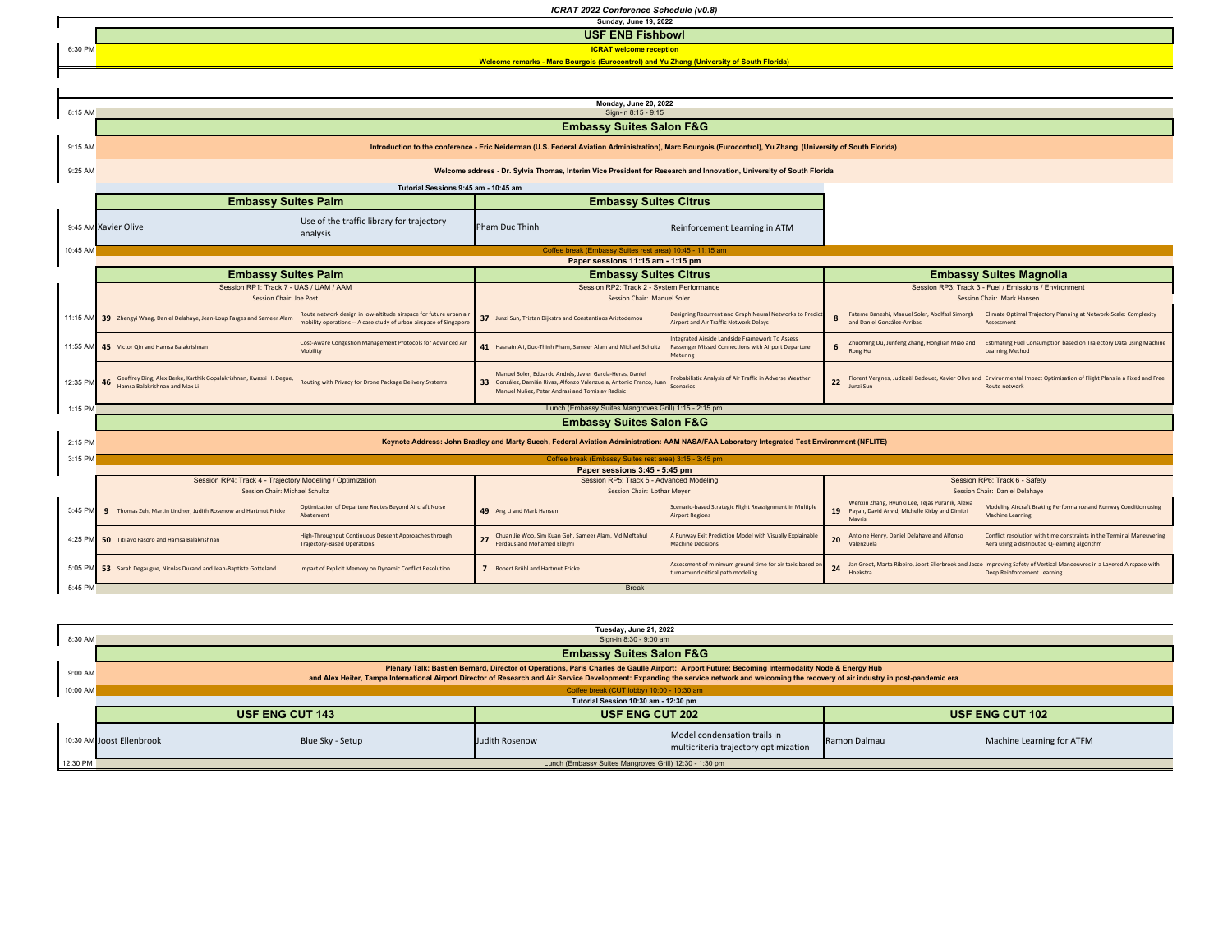6:30 PM *ICRAT 2022 Conference Schedule (v0.8)* **Sunday, June 19, 2022 ICRAT welcome reception USF ENB Fishbowl Welcome remarks - Marc Bourgois (Eurocontrol) and Yu Zhang (University of South Florida)**



|                                     | Tuesday, June 21, 2022                                                                                                                                                                                                                                                                                                                           |                        |                                                                       |                        |                           |  |  |  |
|-------------------------------------|--------------------------------------------------------------------------------------------------------------------------------------------------------------------------------------------------------------------------------------------------------------------------------------------------------------------------------------------------|------------------------|-----------------------------------------------------------------------|------------------------|---------------------------|--|--|--|
| 8:30 AM                             | Sign-in 8:30 - 9:00 am                                                                                                                                                                                                                                                                                                                           |                        |                                                                       |                        |                           |  |  |  |
| <b>Embassy Suites Salon F&amp;G</b> |                                                                                                                                                                                                                                                                                                                                                  |                        |                                                                       |                        |                           |  |  |  |
| 9:00 AM                             | Plenary Talk: Bastien Bernard, Director of Operations, Paris Charles de Gaulle Airport: Airport Future: Becoming Intermodality Node & Energy Hub<br>and Alex Heiter, Tampa International Airport Director of Research and Air Service Development: Expanding the service network and welcoming the recovery of air industry in post-pandemic era |                        |                                                                       |                        |                           |  |  |  |
| 10:00 AM                            | Coffee break (CUT lobby) 10:00 - 10:30 am                                                                                                                                                                                                                                                                                                        |                        |                                                                       |                        |                           |  |  |  |
|                                     | Tutorial Session 10:30 am - 12:30 pm                                                                                                                                                                                                                                                                                                             |                        |                                                                       |                        |                           |  |  |  |
|                                     | <b>USF ENG CUT 143</b>                                                                                                                                                                                                                                                                                                                           | <b>USF ENG CUT 202</b> |                                                                       | <b>USF ENG CUT 102</b> |                           |  |  |  |
|                                     | Blue Sky - Setup<br>10:30 AM Joost Ellenbrook                                                                                                                                                                                                                                                                                                    | Judith Rosenow         | Model condensation trails in<br>multicriteria trajectory optimization | Ramon Dalmau           | Machine Learning for ATFM |  |  |  |
| 12:30 PM                            |                                                                                                                                                                                                                                                                                                                                                  |                        | Lunch (Embassy Suites Mangroves Grill) 12:30 - 1:30 pm                |                        |                           |  |  |  |
|                                     |                                                                                                                                                                                                                                                                                                                                                  |                        |                                                                       |                        |                           |  |  |  |